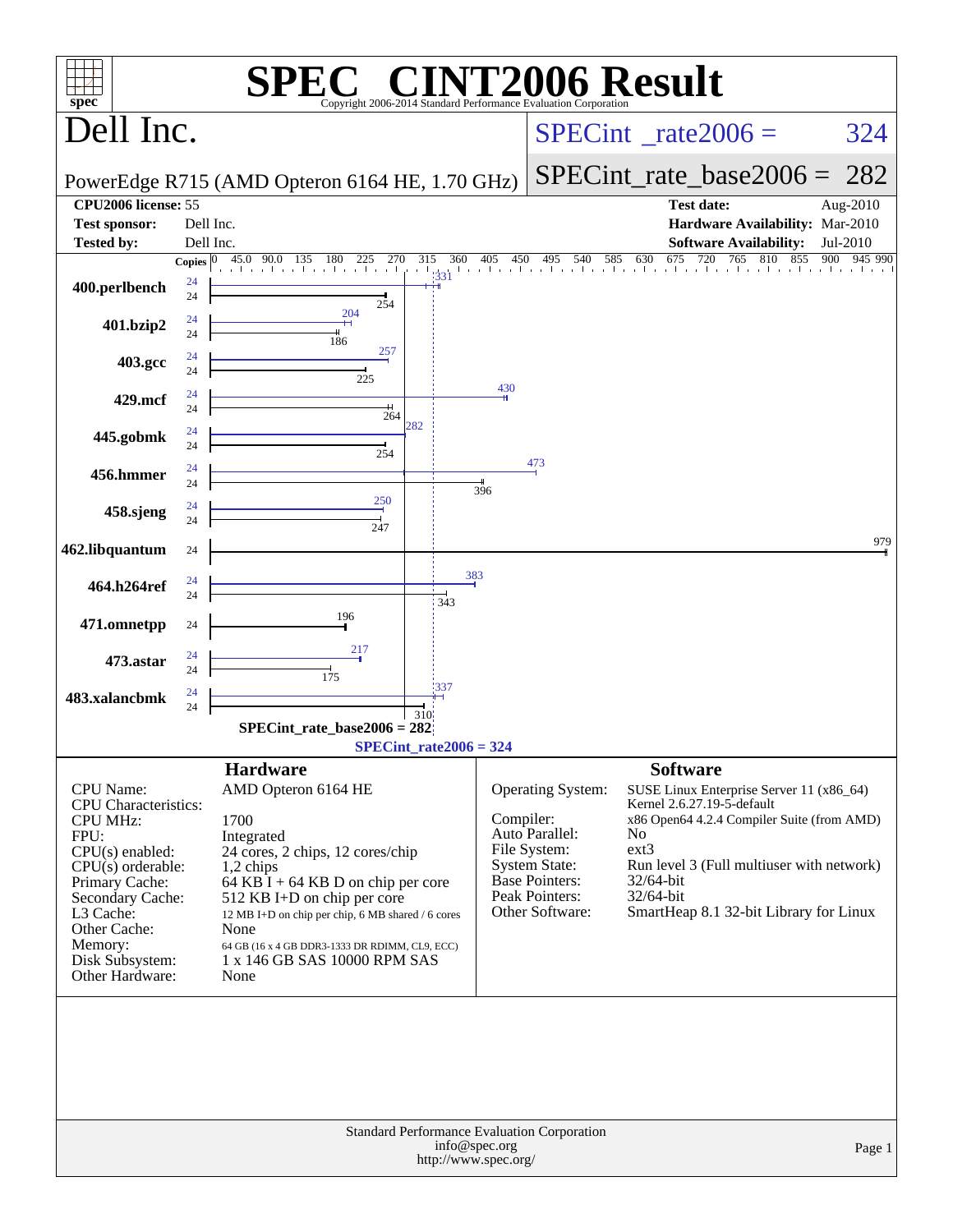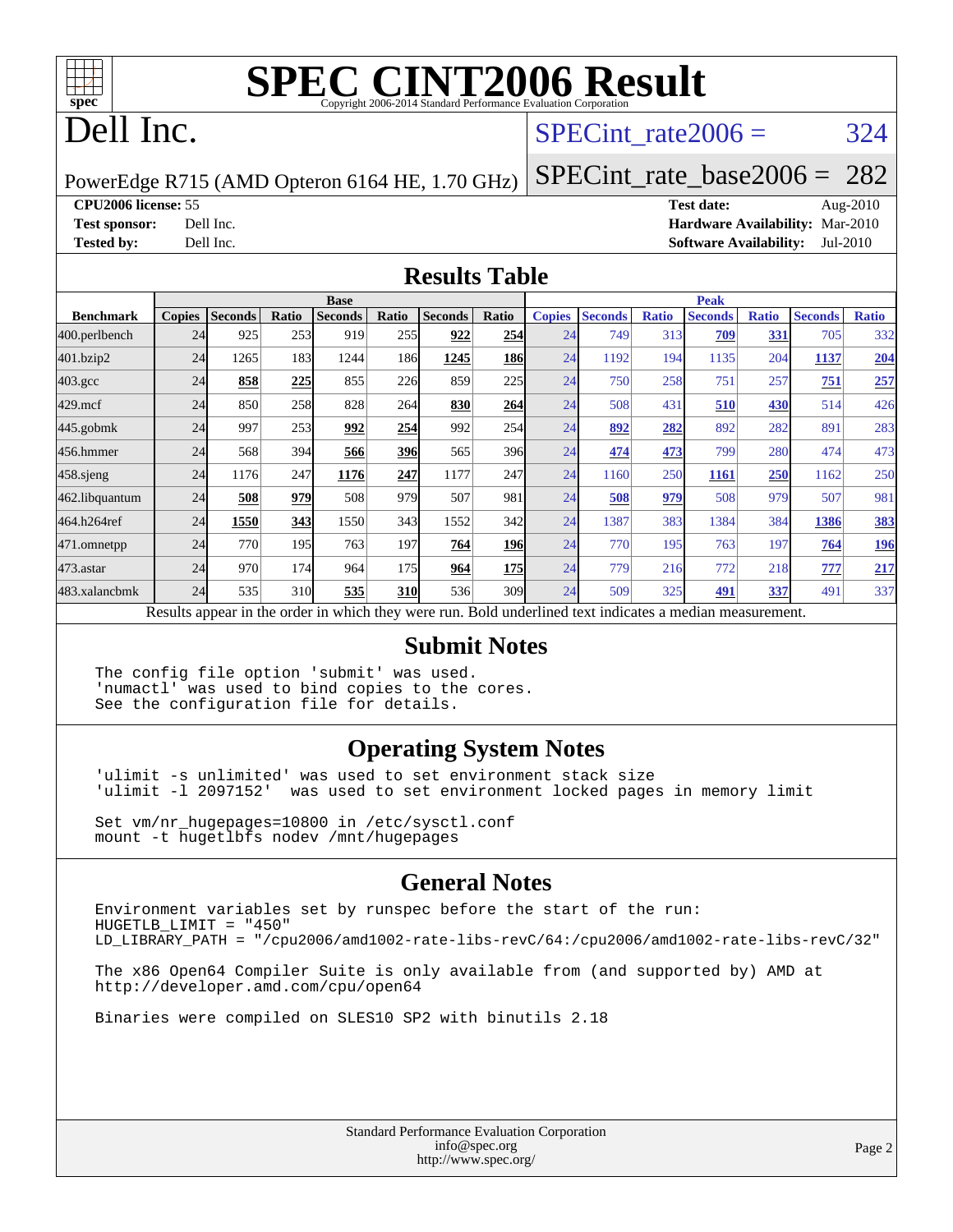

# **[SPEC CINT2006 Result](http://www.spec.org/auto/cpu2006/Docs/result-fields.html#SPECCINT2006Result)**

## Dell Inc.

#### SPECint rate $2006 = 324$

PowerEdge R715 (AMD Opteron 6164 HE, 1.70 GHz)

[SPECint\\_rate\\_base2006 =](http://www.spec.org/auto/cpu2006/Docs/result-fields.html#SPECintratebase2006) 282

**[CPU2006 license:](http://www.spec.org/auto/cpu2006/Docs/result-fields.html#CPU2006license)** 55 **[Test date:](http://www.spec.org/auto/cpu2006/Docs/result-fields.html#Testdate)** Aug-2010

**[Test sponsor:](http://www.spec.org/auto/cpu2006/Docs/result-fields.html#Testsponsor)** Dell Inc. **[Hardware Availability:](http://www.spec.org/auto/cpu2006/Docs/result-fields.html#HardwareAvailability)** Mar-2010 **[Tested by:](http://www.spec.org/auto/cpu2006/Docs/result-fields.html#Testedby)** Dell Inc. **[Software Availability:](http://www.spec.org/auto/cpu2006/Docs/result-fields.html#SoftwareAvailability)** Jul-2010

#### **[Results Table](http://www.spec.org/auto/cpu2006/Docs/result-fields.html#ResultsTable)**

|                    | <b>Base</b>   |                |       |                |            |                                                                                                          |            |               | <b>Peak</b>    |              |                |              |                |              |  |
|--------------------|---------------|----------------|-------|----------------|------------|----------------------------------------------------------------------------------------------------------|------------|---------------|----------------|--------------|----------------|--------------|----------------|--------------|--|
| <b>Benchmark</b>   | <b>Copies</b> | <b>Seconds</b> | Ratio | <b>Seconds</b> | Ratio      | <b>Seconds</b>                                                                                           | Ratio      | <b>Copies</b> | <b>Seconds</b> | <b>Ratio</b> | <b>Seconds</b> | <b>Ratio</b> | <b>Seconds</b> | <b>Ratio</b> |  |
| 400.perlbench      | 24            | 925            | 253   | 919            | 255        | 922                                                                                                      | 254        | 24            | 749            | 313          | 709            | 331          | 705            | 332          |  |
| 401.bzip2          | 24            | 1265           | 183   | 1244           | 186I       | 1245                                                                                                     | <b>186</b> | 24            | 1192           | 194          | 1135           | 204          | 1137           | 204          |  |
| $403.\mathrm{gcc}$ | 24            | 858            | 225   | 855            | 226        | 859                                                                                                      | 225        | 24            | 750            | 258          | 751            | 257          | 751            | 257          |  |
| $429$ .mcf         | 24            | 850            | 258   | 828            | 264        | 830                                                                                                      | 264        | 24            | 508            | 431          | 510            | 430          | 514            | 426          |  |
| $445$ .gobmk       | 24            | 997            | 253   | 992            | 254        | 992                                                                                                      | 254        | 24            | 892            | 282          | 892            | 282          | 891            | 283          |  |
| 456.hmmer          | 24            | 568            | 394   | 566            | <b>396</b> | 565                                                                                                      | 396        | 24            | 474            | 473          | 799            | 280          | 474            | 473          |  |
| $458$ .sjeng       | 24            | 1176           | 247   | 1176           | 247        | 1177                                                                                                     | 247        | 24            | 1160           | 250          | 1161           | 250          | 1162           | 250          |  |
| 462.libquantum     | 24            | 508            | 979   | 508            | 979        | 507                                                                                                      | 981        | 24            | 508            | 979          | 508            | 979          | 507            | 981          |  |
| 464.h264ref        | 24            | 1550           | 343   | 1550           | 343        | 1552                                                                                                     | 342        | 24            | 1387           | 383          | 1384           | 384          | 1386           | <u>383</u>   |  |
| 471.omnetpp        | 24            | 770            | 195   | 763            | 197        | 764                                                                                                      | <b>196</b> | 24            | 770            | 195          | 763            | 197          | 764            | <u>196</u>   |  |
| $473$ . astar      | 24            | 970            | 174   | 964            | 175        | 964                                                                                                      | 175        | 24            | 779            | 216          | 772            | 218          | 777            | 217          |  |
| 483.xalancbmk      | 24            | 535            | 310   | 535            | <b>310</b> | 536                                                                                                      | 309        | 24            | 509            | 325          | 491            | 337          | 491            | 337          |  |
|                    |               |                |       |                |            | Results appear in the order in which they were run. Bold underlined text indicates a median measurement. |            |               |                |              |                |              |                |              |  |

#### **[Submit Notes](http://www.spec.org/auto/cpu2006/Docs/result-fields.html#SubmitNotes)**

The config file option 'submit' was used. 'numactl' was used to bind copies to the cores. See the configuration file for details.

#### **[Operating System Notes](http://www.spec.org/auto/cpu2006/Docs/result-fields.html#OperatingSystemNotes)**

'ulimit -s unlimited' was used to set environment stack size 'ulimit -l 2097152' was used to set environment locked pages in memory limit

Set vm/nr\_hugepages=10800 in /etc/sysctl.conf mount -t hugetlbfs nodev /mnt/hugepages

#### **[General Notes](http://www.spec.org/auto/cpu2006/Docs/result-fields.html#GeneralNotes)**

Environment variables set by runspec before the start of the run: HUGETLB\_LIMIT = "450" LD\_LIBRARY\_PATH = "/cpu2006/amd1002-rate-libs-revC/64:/cpu2006/amd1002-rate-libs-revC/32"

The x86 Open64 Compiler Suite is only available from (and supported by) AMD at <http://developer.amd.com/cpu/open64>

Binaries were compiled on SLES10 SP2 with binutils 2.18

Standard Performance Evaluation Corporation [info@spec.org](mailto:info@spec.org) <http://www.spec.org/>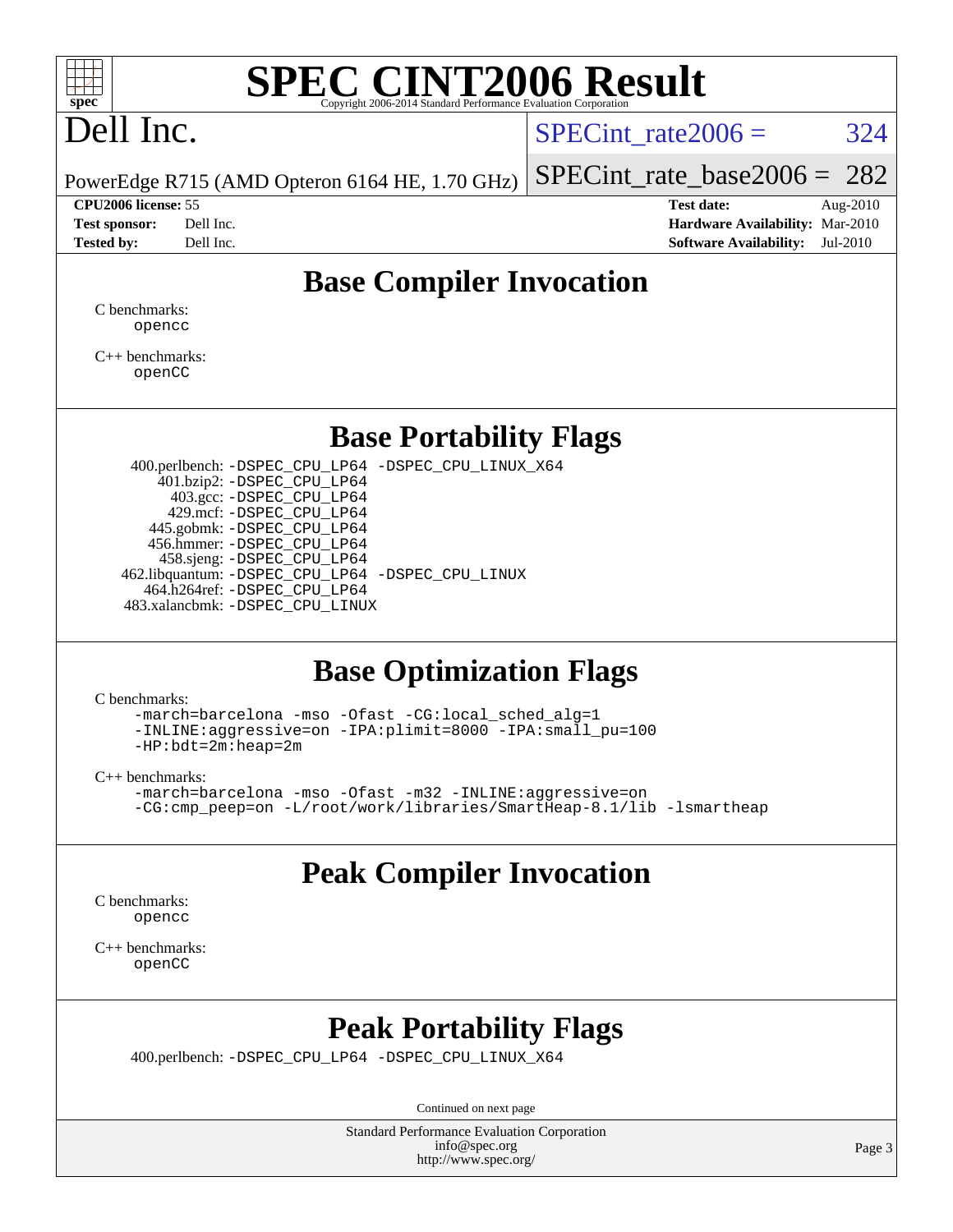

# **[SPEC CINT2006 Result](http://www.spec.org/auto/cpu2006/Docs/result-fields.html#SPECCINT2006Result)**

# Dell Inc.

SPECint rate $2006 = 324$ 

[SPECint\\_rate\\_base2006 =](http://www.spec.org/auto/cpu2006/Docs/result-fields.html#SPECintratebase2006) 282

PowerEdge R715 (AMD Opteron 6164 HE, 1.70 GHz)

**[CPU2006 license:](http://www.spec.org/auto/cpu2006/Docs/result-fields.html#CPU2006license)** 55 **[Test date:](http://www.spec.org/auto/cpu2006/Docs/result-fields.html#Testdate)** Aug-2010 **[Test sponsor:](http://www.spec.org/auto/cpu2006/Docs/result-fields.html#Testsponsor)** Dell Inc. **[Hardware Availability:](http://www.spec.org/auto/cpu2006/Docs/result-fields.html#HardwareAvailability)** Mar-2010 **[Tested by:](http://www.spec.org/auto/cpu2006/Docs/result-fields.html#Testedby)** Dell Inc. **[Software Availability:](http://www.spec.org/auto/cpu2006/Docs/result-fields.html#SoftwareAvailability)** Jul-2010

#### **[Base Compiler Invocation](http://www.spec.org/auto/cpu2006/Docs/result-fields.html#BaseCompilerInvocation)**

[C benchmarks](http://www.spec.org/auto/cpu2006/Docs/result-fields.html#Cbenchmarks): [opencc](http://www.spec.org/cpu2006/results/res2010q3/cpu2006-20100914-13265.flags.html#user_CCbase_Fopencc)

[C++ benchmarks:](http://www.spec.org/auto/cpu2006/Docs/result-fields.html#CXXbenchmarks) [openCC](http://www.spec.org/cpu2006/results/res2010q3/cpu2006-20100914-13265.flags.html#user_CXXbase_FopenCC)

#### **[Base Portability Flags](http://www.spec.org/auto/cpu2006/Docs/result-fields.html#BasePortabilityFlags)**

 400.perlbench: [-DSPEC\\_CPU\\_LP64](http://www.spec.org/cpu2006/results/res2010q3/cpu2006-20100914-13265.flags.html#b400.perlbench_basePORTABILITY_DSPEC_CPU_LP64) [-DSPEC\\_CPU\\_LINUX\\_X64](http://www.spec.org/cpu2006/results/res2010q3/cpu2006-20100914-13265.flags.html#b400.perlbench_baseCPORTABILITY_DSPEC_CPU_LINUX_X64) 401.bzip2: [-DSPEC\\_CPU\\_LP64](http://www.spec.org/cpu2006/results/res2010q3/cpu2006-20100914-13265.flags.html#suite_basePORTABILITY401_bzip2_DSPEC_CPU_LP64) 403.gcc: [-DSPEC\\_CPU\\_LP64](http://www.spec.org/cpu2006/results/res2010q3/cpu2006-20100914-13265.flags.html#suite_basePORTABILITY403_gcc_DSPEC_CPU_LP64) 429.mcf: [-DSPEC\\_CPU\\_LP64](http://www.spec.org/cpu2006/results/res2010q3/cpu2006-20100914-13265.flags.html#suite_basePORTABILITY429_mcf_DSPEC_CPU_LP64) 445.gobmk: [-DSPEC\\_CPU\\_LP64](http://www.spec.org/cpu2006/results/res2010q3/cpu2006-20100914-13265.flags.html#suite_basePORTABILITY445_gobmk_DSPEC_CPU_LP64) 456.hmmer: [-DSPEC\\_CPU\\_LP64](http://www.spec.org/cpu2006/results/res2010q3/cpu2006-20100914-13265.flags.html#suite_basePORTABILITY456_hmmer_DSPEC_CPU_LP64) 458.sjeng: [-DSPEC\\_CPU\\_LP64](http://www.spec.org/cpu2006/results/res2010q3/cpu2006-20100914-13265.flags.html#suite_basePORTABILITY458_sjeng_DSPEC_CPU_LP64) 462.libquantum: [-DSPEC\\_CPU\\_LP64](http://www.spec.org/cpu2006/results/res2010q3/cpu2006-20100914-13265.flags.html#suite_basePORTABILITY462_libquantum_DSPEC_CPU_LP64) [-DSPEC\\_CPU\\_LINUX](http://www.spec.org/cpu2006/results/res2010q3/cpu2006-20100914-13265.flags.html#b462.libquantum_baseCPORTABILITY_DSPEC_CPU_LINUX) 464.h264ref: [-DSPEC\\_CPU\\_LP64](http://www.spec.org/cpu2006/results/res2010q3/cpu2006-20100914-13265.flags.html#suite_basePORTABILITY464_h264ref_DSPEC_CPU_LP64) 483.xalancbmk: [-DSPEC\\_CPU\\_LINUX](http://www.spec.org/cpu2006/results/res2010q3/cpu2006-20100914-13265.flags.html#b483.xalancbmk_baseCXXPORTABILITY_DSPEC_CPU_LINUX)

#### **[Base Optimization Flags](http://www.spec.org/auto/cpu2006/Docs/result-fields.html#BaseOptimizationFlags)**

[C benchmarks](http://www.spec.org/auto/cpu2006/Docs/result-fields.html#Cbenchmarks):

[-march=barcelona](http://www.spec.org/cpu2006/results/res2010q3/cpu2006-20100914-13265.flags.html#user_CCbase_F-march_8ea39521cada96f307a04d0b8b9c6ffb) [-mso](http://www.spec.org/cpu2006/results/res2010q3/cpu2006-20100914-13265.flags.html#user_CCbase_F-mso) [-Ofast](http://www.spec.org/cpu2006/results/res2010q3/cpu2006-20100914-13265.flags.html#user_CCbase_F-Ofast) [-CG:local\\_sched\\_alg=1](http://www.spec.org/cpu2006/results/res2010q3/cpu2006-20100914-13265.flags.html#user_CCbase_F-CG:local_sched_alg_2175ca61f1a2717f1ec57b14995b9e7a) [-INLINE:aggressive=on](http://www.spec.org/cpu2006/results/res2010q3/cpu2006-20100914-13265.flags.html#user_CCbase_F-INLINE:aggressive_e14807c0a1e56a6a83cb25ab07c7ae8a) [-IPA:plimit=8000](http://www.spec.org/cpu2006/results/res2010q3/cpu2006-20100914-13265.flags.html#user_CCbase_F-IPA:plimit_92cba83f3d47f09c7d5368fda93ddbd7) [-IPA:small\\_pu=100](http://www.spec.org/cpu2006/results/res2010q3/cpu2006-20100914-13265.flags.html#user_CCbase_F-IPA:small_pu_900a09767c6929d55c26ea3d32399996) [-HP:bdt=2m:heap=2m](http://www.spec.org/cpu2006/results/res2010q3/cpu2006-20100914-13265.flags.html#user_CCbase_F-HUGEPAGE_855e97383b49831f390a2af16fe7202f)

[C++ benchmarks:](http://www.spec.org/auto/cpu2006/Docs/result-fields.html#CXXbenchmarks)

[-march=barcelona](http://www.spec.org/cpu2006/results/res2010q3/cpu2006-20100914-13265.flags.html#user_CXXbase_F-march_8ea39521cada96f307a04d0b8b9c6ffb) [-mso](http://www.spec.org/cpu2006/results/res2010q3/cpu2006-20100914-13265.flags.html#user_CXXbase_F-mso) [-Ofast](http://www.spec.org/cpu2006/results/res2010q3/cpu2006-20100914-13265.flags.html#user_CXXbase_F-Ofast) [-m32](http://www.spec.org/cpu2006/results/res2010q3/cpu2006-20100914-13265.flags.html#user_CXXbase_F-m32) [-INLINE:aggressive=on](http://www.spec.org/cpu2006/results/res2010q3/cpu2006-20100914-13265.flags.html#user_CXXbase_F-INLINE:aggressive_e14807c0a1e56a6a83cb25ab07c7ae8a) [-CG:cmp\\_peep=on](http://www.spec.org/cpu2006/results/res2010q3/cpu2006-20100914-13265.flags.html#user_CXXbase_F-CG:cmp_peep_ab90c979e95bee1f1f617a32622424ed) [-L/root/work/libraries/SmartHeap-8.1/lib -lsmartheap](http://www.spec.org/cpu2006/results/res2010q3/cpu2006-20100914-13265.flags.html#user_CXXbase_F-L_lib_directory_lsmartheap_9ab549d8336b8b0ffe7b94e3ae706265)

### **[Peak Compiler Invocation](http://www.spec.org/auto/cpu2006/Docs/result-fields.html#PeakCompilerInvocation)**

[C benchmarks](http://www.spec.org/auto/cpu2006/Docs/result-fields.html#Cbenchmarks): [opencc](http://www.spec.org/cpu2006/results/res2010q3/cpu2006-20100914-13265.flags.html#user_CCpeak_Fopencc)

[C++ benchmarks:](http://www.spec.org/auto/cpu2006/Docs/result-fields.html#CXXbenchmarks) [openCC](http://www.spec.org/cpu2006/results/res2010q3/cpu2006-20100914-13265.flags.html#user_CXXpeak_FopenCC)

### **[Peak Portability Flags](http://www.spec.org/auto/cpu2006/Docs/result-fields.html#PeakPortabilityFlags)**

400.perlbench: [-DSPEC\\_CPU\\_LP64](http://www.spec.org/cpu2006/results/res2010q3/cpu2006-20100914-13265.flags.html#b400.perlbench_peakPORTABILITY_DSPEC_CPU_LP64) [-DSPEC\\_CPU\\_LINUX\\_X64](http://www.spec.org/cpu2006/results/res2010q3/cpu2006-20100914-13265.flags.html#b400.perlbench_peakCPORTABILITY_DSPEC_CPU_LINUX_X64)

Continued on next page

Standard Performance Evaluation Corporation [info@spec.org](mailto:info@spec.org) <http://www.spec.org/>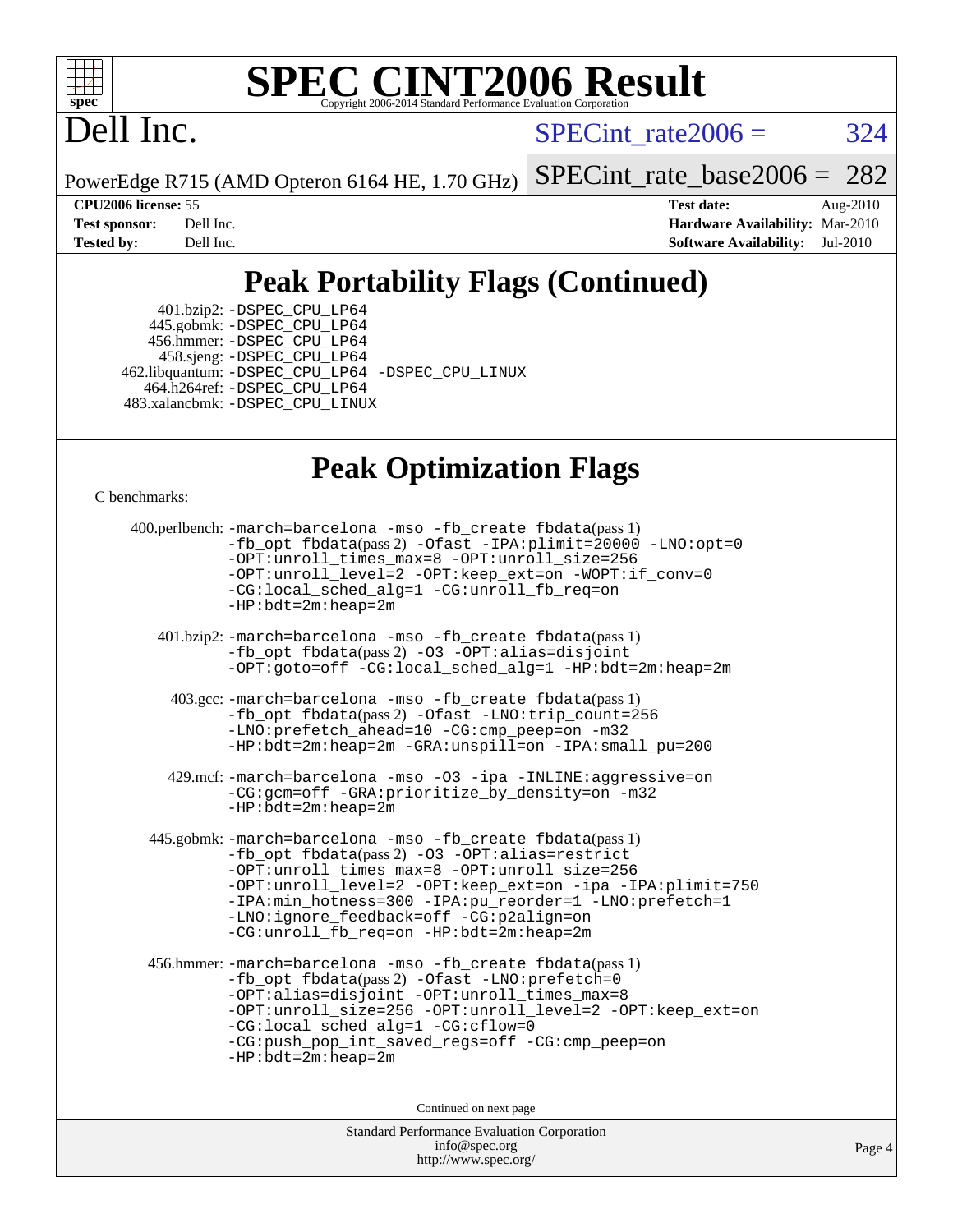

# **[SPEC CINT2006 Result](http://www.spec.org/auto/cpu2006/Docs/result-fields.html#SPECCINT2006Result)**

## Dell Inc.

SPECint rate $2006 = 324$ 

PowerEdge R715 (AMD Opteron 6164 HE, 1.70 GHz)

[SPECint\\_rate\\_base2006 =](http://www.spec.org/auto/cpu2006/Docs/result-fields.html#SPECintratebase2006) 282

**[CPU2006 license:](http://www.spec.org/auto/cpu2006/Docs/result-fields.html#CPU2006license)** 55 **[Test date:](http://www.spec.org/auto/cpu2006/Docs/result-fields.html#Testdate)** Aug-2010 **[Test sponsor:](http://www.spec.org/auto/cpu2006/Docs/result-fields.html#Testsponsor)** Dell Inc. **[Hardware Availability:](http://www.spec.org/auto/cpu2006/Docs/result-fields.html#HardwareAvailability)** Mar-2010 **[Tested by:](http://www.spec.org/auto/cpu2006/Docs/result-fields.html#Testedby)** Dell Inc. **[Software Availability:](http://www.spec.org/auto/cpu2006/Docs/result-fields.html#SoftwareAvailability)** Jul-2010

## **[Peak Portability Flags \(Continued\)](http://www.spec.org/auto/cpu2006/Docs/result-fields.html#PeakPortabilityFlags)**

 401.bzip2: [-DSPEC\\_CPU\\_LP64](http://www.spec.org/cpu2006/results/res2010q3/cpu2006-20100914-13265.flags.html#suite_peakPORTABILITY401_bzip2_DSPEC_CPU_LP64) 445.gobmk: [-DSPEC\\_CPU\\_LP64](http://www.spec.org/cpu2006/results/res2010q3/cpu2006-20100914-13265.flags.html#suite_peakPORTABILITY445_gobmk_DSPEC_CPU_LP64) 456.hmmer: [-DSPEC\\_CPU\\_LP64](http://www.spec.org/cpu2006/results/res2010q3/cpu2006-20100914-13265.flags.html#suite_peakPORTABILITY456_hmmer_DSPEC_CPU_LP64) 458.sjeng: [-DSPEC\\_CPU\\_LP64](http://www.spec.org/cpu2006/results/res2010q3/cpu2006-20100914-13265.flags.html#suite_peakPORTABILITY458_sjeng_DSPEC_CPU_LP64) 462.libquantum: [-DSPEC\\_CPU\\_LP64](http://www.spec.org/cpu2006/results/res2010q3/cpu2006-20100914-13265.flags.html#suite_peakPORTABILITY462_libquantum_DSPEC_CPU_LP64) [-DSPEC\\_CPU\\_LINUX](http://www.spec.org/cpu2006/results/res2010q3/cpu2006-20100914-13265.flags.html#b462.libquantum_peakCPORTABILITY_DSPEC_CPU_LINUX) 464.h264ref: [-DSPEC\\_CPU\\_LP64](http://www.spec.org/cpu2006/results/res2010q3/cpu2006-20100914-13265.flags.html#suite_peakPORTABILITY464_h264ref_DSPEC_CPU_LP64) 483.xalancbmk: [-DSPEC\\_CPU\\_LINUX](http://www.spec.org/cpu2006/results/res2010q3/cpu2006-20100914-13265.flags.html#b483.xalancbmk_peakCXXPORTABILITY_DSPEC_CPU_LINUX)

#### **[Peak Optimization Flags](http://www.spec.org/auto/cpu2006/Docs/result-fields.html#PeakOptimizationFlags)**

[C benchmarks](http://www.spec.org/auto/cpu2006/Docs/result-fields.html#Cbenchmarks):

```
 400.perlbench: -march=barcelona -mso -fb_create fbdata(pass 1)
         -fb_opt fbdata(pass 2) -Ofast -IPA:plimit=20000 -LNO:opt=0
         -OPT:unroll_times_max=8 -OPT:unroll_size=256
         -OPT:unroll_level=2 -OPT:keep_ext=on -WOPT:if_conv=0
         -CG:local_sched_alg=1 -CG:unroll_fb_req=on
         -HP:bdt=2m:heap=2m
  401.bzip2: -march=barcelona -mso -fb_create fbdata(pass 1)
         -fb_opt fbdata(pass 2) -O3 -OPT:alias=disjoint
         -OPT:goto=off -CG:local_sched_alg=1 -HP:bdt=2m:heap=2m
   403.gcc: -march=barcelona -mso -fb_create fbdata(pass 1)
         -fb_opt fbdata(pass 2) -Ofast -LNO:trip_count=256
         -LNO:prefetch_ahead=10 -CG:cmp_peep=on -m32
         -HP:bdt=2m:heap=2m -GRA:unspill=on -IPA:small_pu=200
   429.mcf: -march=barcelona -mso -O3 -ipa -INLINE:aggressive=on
         -CG:gcm=off -GRA:prioritize_by_density=on -m32
        -HP:bdt=2m:heap=2m
445.gobmk: -march=barcelona -mso -fb_create fbdata(pass 1)
         -fb_opt fbdata(pass 2) -O3 -OPT:alias=restrict
         -OPT:unroll_times_max=8 -OPT:unroll_size=256
         -OPT:unroll_level=2 -OPT:keep_ext=on -ipa -IPA:plimit=750
         -IPA:min_hotness=300-IPA:pu_reorder=1-LNO:prefetch=1
         -LNO:ignore_feedback=off -CG:p2align=on
         -CG:unroll_fb_req=on -HP:bdt=2m:heap=2m
456.hmmer: -march=barcelona -mso -fb_create fbdata(pass 1)
         -fb_opt fbdata(pass 2) -Ofast -LNO:prefetch=0
         -OPT:alias=disjoint -OPT:unroll_times_max=8
         -OPT:unroll_size=256 -OPT:unroll_level=2 -OPT:keep_ext=on
         -CG:local_sched_alg=1 -CG:cflow=0
         -CG:push_pop_int_saved_regs=off -CG:cmp_peep=on
         -HP:bdt=2m:heap=2m
                              Continued on next page
```
Standard Performance Evaluation Corporation [info@spec.org](mailto:info@spec.org) <http://www.spec.org/>